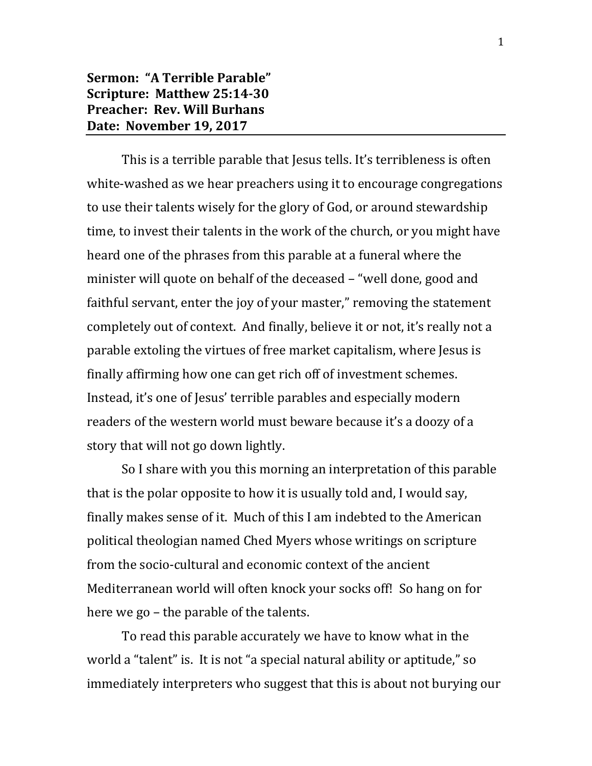## **Sermon: "A Terrible Parable" Scripture: Matthew 25:14-30 Preacher: Rev. Will Burhans Date: November 19, 2017**

This is a terrible parable that Jesus tells. It's terribleness is often white-washed as we hear preachers using it to encourage congregations to use their talents wisely for the glory of God, or around stewardship time, to invest their talents in the work of the church, or you might have heard one of the phrases from this parable at a funeral where the minister will quote on behalf of the deceased – "well done, good and faithful servant, enter the joy of your master," removing the statement completely out of context. And finally, believe it or not, it's really not a parable extoling the virtues of free market capitalism, where Jesus is finally affirming how one can get rich off of investment schemes. Instead, it's one of Jesus' terrible parables and especially modern readers of the western world must beware because it's a doozy of a story that will not go down lightly.

So I share with you this morning an interpretation of this parable that is the polar opposite to how it is usually told and, I would say, finally makes sense of it. Much of this I am indebted to the American political theologian named Ched Myers whose writings on scripture from the socio-cultural and economic context of the ancient Mediterranean world will often knock your socks off! So hang on for here we go – the parable of the talents.

To read this parable accurately we have to know what in the world a "talent" is. It is not "a special natural ability or aptitude," so immediately interpreters who suggest that this is about not burying our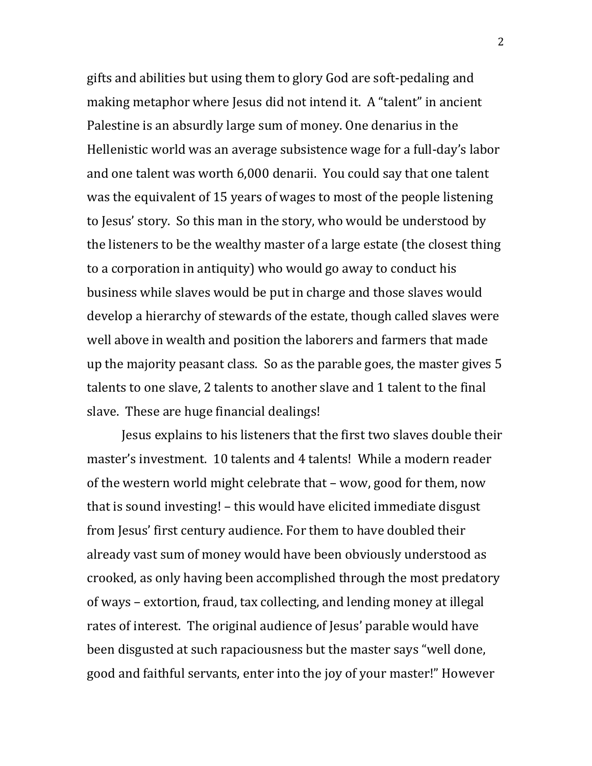gifts and abilities but using them to glory God are soft-pedaling and making metaphor where Jesus did not intend it. A "talent" in ancient Palestine is an absurdly large sum of money. One denarius in the Hellenistic world was an average subsistence wage for a full-day's labor and one talent was worth 6,000 denarii. You could say that one talent was the equivalent of 15 years of wages to most of the people listening to Jesus' story. So this man in the story, who would be understood by the listeners to be the wealthy master of a large estate (the closest thing to a corporation in antiquity) who would go away to conduct his business while slaves would be put in charge and those slaves would develop a hierarchy of stewards of the estate, though called slaves were well above in wealth and position the laborers and farmers that made up the majority peasant class. So as the parable goes, the master gives 5 talents to one slave, 2 talents to another slave and 1 talent to the final slave. These are huge financial dealings!

Jesus explains to his listeners that the first two slaves double their master's investment. 10 talents and 4 talents! While a modern reader of the western world might celebrate that – wow, good for them, now that is sound investing! – this would have elicited immediate disgust from Jesus' first century audience. For them to have doubled their already vast sum of money would have been obviously understood as crooked, as only having been accomplished through the most predatory of ways – extortion, fraud, tax collecting, and lending money at illegal rates of interest. The original audience of Jesus' parable would have been disgusted at such rapaciousness but the master says "well done, good and faithful servants, enter into the joy of your master!" However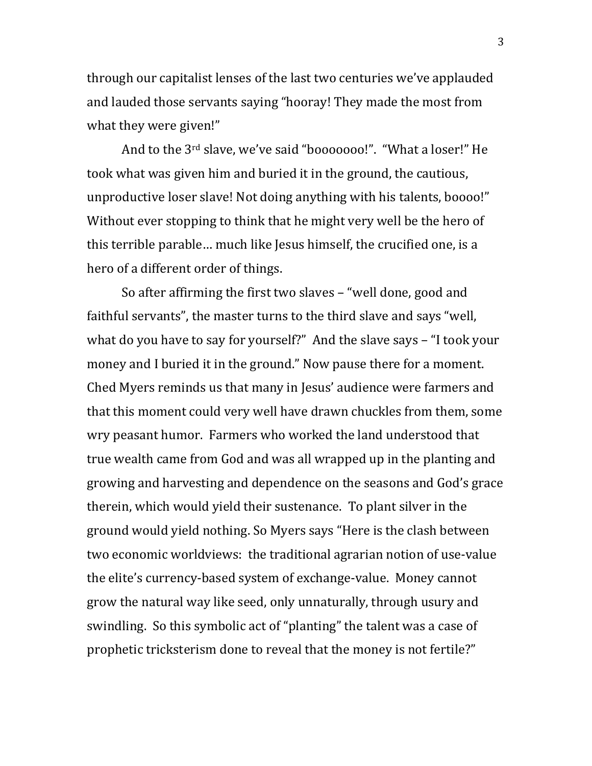through our capitalist lenses of the last two centuries we've applauded and lauded those servants saying "hooray! They made the most from what they were given!"

And to the 3rd slave, we've said "booooooo!". "What a loser!" He took what was given him and buried it in the ground, the cautious, unproductive loser slave! Not doing anything with his talents, boooo!" Without ever stopping to think that he might very well be the hero of this terrible parable… much like Jesus himself, the crucified one, is a hero of a different order of things.

So after affirming the first two slaves – "well done, good and faithful servants", the master turns to the third slave and says "well, what do you have to say for yourself?" And the slave says – "I took your money and I buried it in the ground." Now pause there for a moment. Ched Myers reminds us that many in Jesus' audience were farmers and that this moment could very well have drawn chuckles from them, some wry peasant humor. Farmers who worked the land understood that true wealth came from God and was all wrapped up in the planting and growing and harvesting and dependence on the seasons and God's grace therein, which would yield their sustenance. To plant silver in the ground would yield nothing. So Myers says "Here is the clash between two economic worldviews: the traditional agrarian notion of use-value the elite's currency-based system of exchange-value. Money cannot grow the natural way like seed, only unnaturally, through usury and swindling. So this symbolic act of "planting" the talent was a case of prophetic tricksterism done to reveal that the money is not fertile?"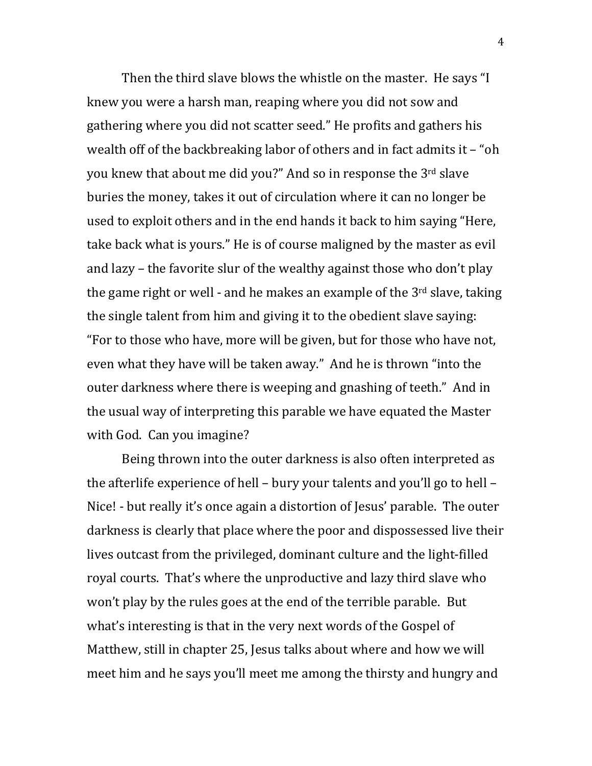Then the third slave blows the whistle on the master. He says "I knew you were a harsh man, reaping where you did not sow and gathering where you did not scatter seed." He profits and gathers his wealth off of the backbreaking labor of others and in fact admits it – "oh you knew that about me did you?" And so in response the 3rd slave buries the money, takes it out of circulation where it can no longer be used to exploit others and in the end hands it back to him saying "Here, take back what is yours." He is of course maligned by the master as evil and lazy – the favorite slur of the wealthy against those who don't play the game right or well - and he makes an example of the 3rd slave, taking the single talent from him and giving it to the obedient slave saying: "For to those who have, more will be given, but for those who have not, even what they have will be taken away." And he is thrown "into the outer darkness where there is weeping and gnashing of teeth." And in the usual way of interpreting this parable we have equated the Master with God. Can you imagine?

Being thrown into the outer darkness is also often interpreted as the afterlife experience of hell – bury your talents and you'll go to hell – Nice! - but really it's once again a distortion of Jesus' parable. The outer darkness is clearly that place where the poor and dispossessed live their lives outcast from the privileged, dominant culture and the light-filled royal courts. That's where the unproductive and lazy third slave who won't play by the rules goes at the end of the terrible parable. But what's interesting is that in the very next words of the Gospel of Matthew, still in chapter 25, Jesus talks about where and how we will meet him and he says you'll meet me among the thirsty and hungry and